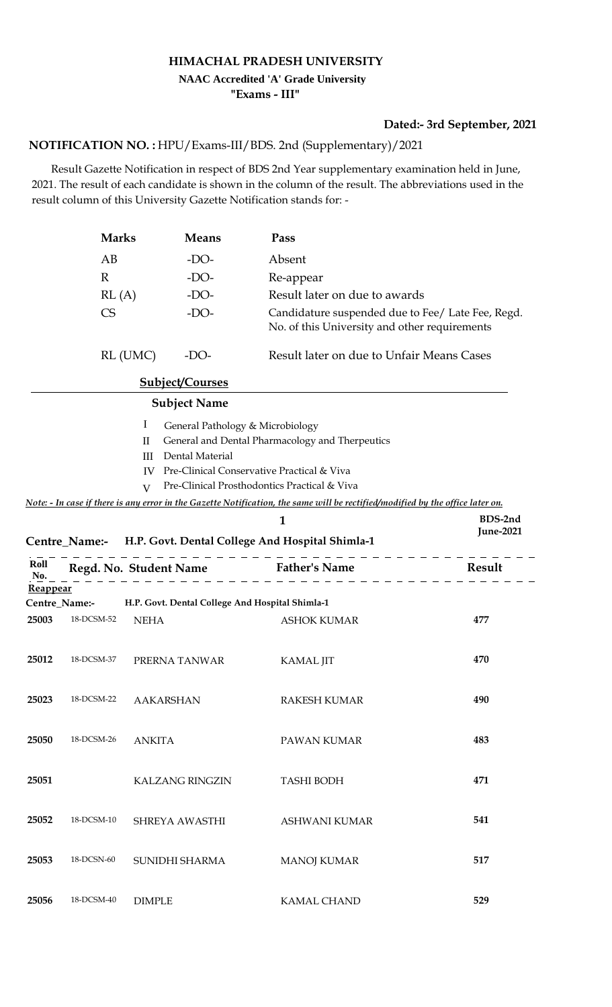## **HIMACHAL PRADESH UNIVERSITY "Exams - III" NAAC Accredited 'A' Grade University**

## **Dated:- 3rd September, 2021**

## **NOTIFICATION NO. :** HPU/Exams-III/BDS. 2nd (Supplementary)/2021

 Result Gazette Notification in respect of BDS 2nd Year supplementary examination held in June, 2021. The result of each candidate is shown in the column of the result. The abbreviations used in the result column of this University Gazette Notification stands for: -

|             | <b>Marks</b><br>AB                     |                                              | <b>Means</b>           | Pass                                                                                                                                                                                                                                                                                                                       | Absent           |  |  |
|-------------|----------------------------------------|----------------------------------------------|------------------------|----------------------------------------------------------------------------------------------------------------------------------------------------------------------------------------------------------------------------------------------------------------------------------------------------------------------------|------------------|--|--|
|             |                                        |                                              | $-DO-$                 |                                                                                                                                                                                                                                                                                                                            |                  |  |  |
|             | $\mathbb{R}$                           |                                              | $-DO-$                 | Re-appear                                                                                                                                                                                                                                                                                                                  |                  |  |  |
|             | RL(A)<br>$-DO-$<br><b>CS</b><br>$-DO-$ |                                              |                        | Result later on due to awards                                                                                                                                                                                                                                                                                              |                  |  |  |
|             |                                        |                                              |                        | Candidature suspended due to Fee/ Late Fee, Regd.<br>No. of this University and other requirements                                                                                                                                                                                                                         |                  |  |  |
|             | RL (UMC)<br>$-DO-$                     |                                              |                        | Result later on due to Unfair Means Cases                                                                                                                                                                                                                                                                                  |                  |  |  |
|             |                                        |                                              | <b>Subject/Courses</b> |                                                                                                                                                                                                                                                                                                                            |                  |  |  |
|             |                                        |                                              | <b>Subject Name</b>    |                                                                                                                                                                                                                                                                                                                            |                  |  |  |
|             |                                        | I<br>$\mathbf{I}$<br>Ш<br>IV<br>$\mathbf{V}$ | Dental Material        | General Pathology & Microbiology<br>General and Dental Pharmacology and Therpeutics<br>Pre-Clinical Conservative Practical & Viva<br>Pre-Clinical Prosthodontics Practical & Viva<br><u>Note: - In case if there is any error in the Gazette Notification, the same will be rectified/modified by the office later on.</u> |                  |  |  |
|             |                                        |                                              |                        | 1                                                                                                                                                                                                                                                                                                                          | BDS-2nd          |  |  |
|             |                                        |                                              |                        | Centre_Name:- H.P. Govt. Dental College And Hospital Shimla-1                                                                                                                                                                                                                                                              | <b>June-2021</b> |  |  |
| Roll<br>No. | Regd. No. Student Name                 |                                              |                        | <b>Father's Name</b>                                                                                                                                                                                                                                                                                                       | Result           |  |  |
| Reappear    | Centre_Name:-                          |                                              |                        | H.P. Govt. Dental College And Hospital Shimla-1                                                                                                                                                                                                                                                                            |                  |  |  |
| 25003       | 18-DCSM-52                             | <b>NEHA</b>                                  |                        | <b>ASHOK KUMAR</b>                                                                                                                                                                                                                                                                                                         | 477              |  |  |
| 25012       | 18-DCSM-37                             | PRERNA TANWAR                                |                        | <b>KAMAL JIT</b>                                                                                                                                                                                                                                                                                                           | 470              |  |  |
| 25023       | 18-DCSM-22                             | <b>AAKARSHAN</b>                             |                        | <b>RAKESH KUMAR</b>                                                                                                                                                                                                                                                                                                        | 490              |  |  |
| 25050       | 18-DCSM-26                             | <b>ANKITA</b>                                |                        | PAWAN KUMAR                                                                                                                                                                                                                                                                                                                | 483              |  |  |
| 25051       |                                        |                                              | <b>KALZANG RINGZIN</b> | <b>TASHI BODH</b>                                                                                                                                                                                                                                                                                                          | 471              |  |  |
| 25052       | 18-DCSM-10                             |                                              | SHREYA AWASTHI         | <b>ASHWANI KUMAR</b>                                                                                                                                                                                                                                                                                                       | 541              |  |  |
| 25053       | 18-DCSN-60                             | SUNIDHI SHARMA                               |                        | <b>MANOJ KUMAR</b>                                                                                                                                                                                                                                                                                                         | 517              |  |  |
| 25056       | 18-DCSM-40                             | <b>DIMPLE</b>                                |                        | <b>KAMAL CHAND</b>                                                                                                                                                                                                                                                                                                         | 529              |  |  |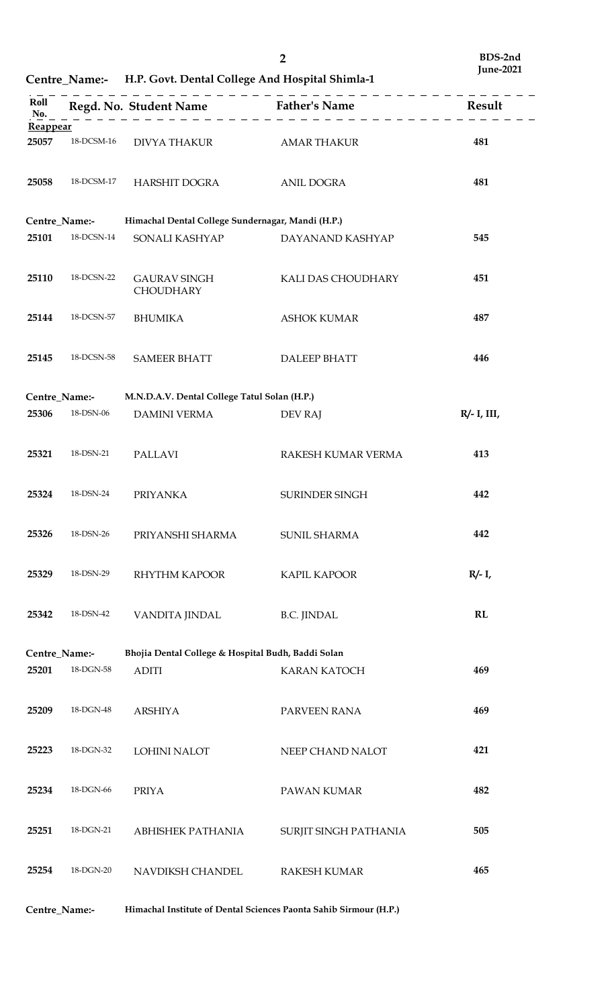**Centre\_Name:- H.P. Govt. Dental College And Hospital Shimla-1**

| Roll<br>No.<br>Reappear                                             |            |                                                   | Regd. No. Student Name<br>$\begin{array}{c} \text{Father's Name} \\ \hline \end{array}$ |                |  |  |  |
|---------------------------------------------------------------------|------------|---------------------------------------------------|-----------------------------------------------------------------------------------------|----------------|--|--|--|
| 25057                                                               | 18-DCSM-16 | DIVYA THAKUR AMAR THAKUR                          |                                                                                         | 481            |  |  |  |
|                                                                     |            |                                                   |                                                                                         |                |  |  |  |
| 25058                                                               | 18-DCSM-17 | HARSHIT DOGRA                                     | <b>ANIL DOGRA</b>                                                                       | 481            |  |  |  |
| Centre_Name:-                                                       |            | Himachal Dental College Sundernagar, Mandi (H.P.) |                                                                                         |                |  |  |  |
| 25101                                                               | 18-DCSN-14 | SONALI KASHYAP                                    | DAYANAND KASHYAP                                                                        | 545            |  |  |  |
| 25110                                                               | 18-DCSN-22 | <b>GAURAV SINGH</b><br><b>CHOUDHARY</b>           | KALI DAS CHOUDHARY                                                                      | 451            |  |  |  |
| 25144                                                               | 18-DCSN-57 | <b>BHUMIKA</b>                                    | <b>ASHOK KUMAR</b>                                                                      | 487            |  |  |  |
| 25145                                                               | 18-DCSN-58 | <b>SAMEER BHATT</b>                               | <b>DALEEP BHATT</b>                                                                     | 446            |  |  |  |
| Centre_Name:-                                                       |            | M.N.D.A.V. Dental College Tatul Solan (H.P.)      |                                                                                         |                |  |  |  |
| 25306                                                               | 18-DSN-06  | DAMINI VERMA                                      | DEV RAJ                                                                                 | $R/- I$ , III, |  |  |  |
| 25321                                                               | 18-DSN-21  | <b>PALLAVI</b>                                    | RAKESH KUMAR VERMA                                                                      | 413            |  |  |  |
| 25324                                                               | 18-DSN-24  | <b>PRIYANKA</b>                                   | SURINDER SINGH                                                                          | 442            |  |  |  |
| 25326                                                               | 18-DSN-26  | PRIYANSHI SHARMA                                  | <b>SUNIL SHARMA</b>                                                                     | 442            |  |  |  |
| 25329                                                               | 18-DSN-29  | <b>RHYTHM KAPOOR</b>                              | <b>KAPIL KAPOOR</b>                                                                     | $R/- I$ ,      |  |  |  |
| 25342                                                               | 18-DSN-42  | VANDITA JINDAL                                    | <b>B.C. JINDAL</b>                                                                      | RL             |  |  |  |
| Bhojia Dental College & Hospital Budh, Baddi Solan<br>Centre_Name:- |            |                                                   |                                                                                         |                |  |  |  |
| 25201                                                               | 18-DGN-58  | <b>ADITI</b>                                      | <b>KARAN KATOCH</b>                                                                     | 469            |  |  |  |
| 25209                                                               | 18-DGN-48  | <b>ARSHIYA</b>                                    | PARVEEN RANA                                                                            | 469            |  |  |  |
| 25223                                                               | 18-DGN-32  | <b>LOHINI NALOT</b>                               | NEEP CHAND NALOT                                                                        | 421            |  |  |  |
| 25234                                                               | 18-DGN-66  | <b>PRIYA</b>                                      | PAWAN KUMAR                                                                             | 482            |  |  |  |
| 25251                                                               | 18-DGN-21  | ABHISHEK PATHANIA                                 | SURJIT SINGH PATHANIA                                                                   | 505            |  |  |  |
| 25254                                                               | 18-DGN-20  | NAVDIKSH CHANDEL                                  | <b>RAKESH KUMAR</b>                                                                     | 465            |  |  |  |

**Centre\_Name:- Himachal Institute of Dental Sciences Paonta Sahib Sirmour (H.P.)**